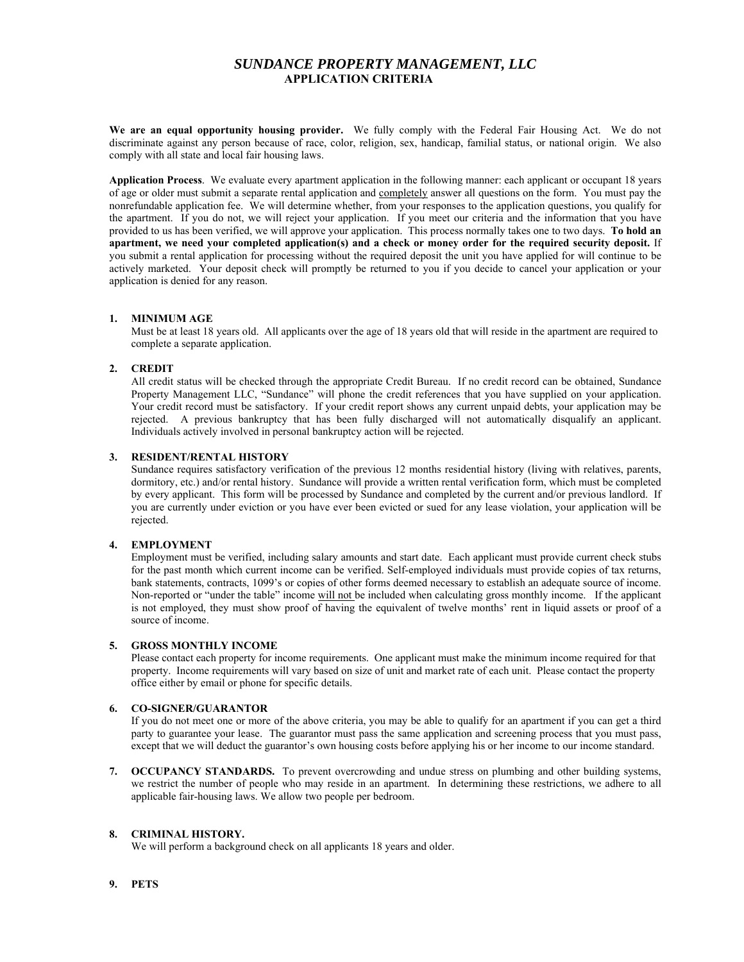# *SUNDANCE PROPERTY MANAGEMENT, LLC*  **APPLICATION CRITERIA**

**We are an equal opportunity housing provider.** We fully comply with the Federal Fair Housing Act. We do not discriminate against any person because of race, color, religion, sex, handicap, familial status, or national origin. We also comply with all state and local fair housing laws.

**Application Process**. We evaluate every apartment application in the following manner: each applicant or occupant 18 years of age or older must submit a separate rental application and completely answer all questions on the form. You must pay the nonrefundable application fee. We will determine whether, from your responses to the application questions, you qualify for the apartment. If you do not, we will reject your application. If you meet our criteria and the information that you have provided to us has been verified, we will approve your application. This process normally takes one to two days. **To hold an apartment, we need your completed application(s) and a check or money order for the required security deposit.** If you submit a rental application for processing without the required deposit the unit you have applied for will continue to be actively marketed. Your deposit check will promptly be returned to you if you decide to cancel your application or your application is denied for any reason.

#### **1. MINIMUM AGE**

Must be at least 18 years old. All applicants over the age of 18 years old that will reside in the apartment are required to complete a separate application.

## **2. CREDIT**

All credit status will be checked through the appropriate Credit Bureau. If no credit record can be obtained, Sundance Property Management LLC, "Sundance" will phone the credit references that you have supplied on your application. Your credit record must be satisfactory. If your credit report shows any current unpaid debts, your application may be rejected. A previous bankruptcy that has been fully discharged will not automatically disqualify an applicant. Individuals actively involved in personal bankruptcy action will be rejected.

## **3. RESIDENT/RENTAL HISTORY**

Sundance requires satisfactory verification of the previous 12 months residential history (living with relatives, parents, dormitory, etc.) and/or rental history. Sundance will provide a written rental verification form, which must be completed by every applicant. This form will be processed by Sundance and completed by the current and/or previous landlord. If you are currently under eviction or you have ever been evicted or sued for any lease violation, your application will be rejected.

#### **4. EMPLOYMENT**

Employment must be verified, including salary amounts and start date. Each applicant must provide current check stubs for the past month which current income can be verified. Self-employed individuals must provide copies of tax returns, bank statements, contracts, 1099's or copies of other forms deemed necessary to establish an adequate source of income. Non-reported or "under the table" income will not be included when calculating gross monthly income. If the applicant is not employed, they must show proof of having the equivalent of twelve months' rent in liquid assets or proof of a source of income.

#### **5. GROSS MONTHLY INCOME**

Please contact each property for income requirements. One applicant must make the minimum income required for that property. Income requirements will vary based on size of unit and market rate of each unit. Please contact the property office either by email or phone for specific details.

### **6. CO-SIGNER/GUARANTOR**

If you do not meet one or more of the above criteria, you may be able to qualify for an apartment if you can get a third party to guarantee your lease. The guarantor must pass the same application and screening process that you must pass, except that we will deduct the guarantor's own housing costs before applying his or her income to our income standard.

**7. OCCUPANCY STANDARDS.** To prevent overcrowding and undue stress on plumbing and other building systems, we restrict the number of people who may reside in an apartment. In determining these restrictions, we adhere to all applicable fair-housing laws. We allow two people per bedroom.

# **8. CRIMINAL HISTORY.**

We will perform a background check on all applicants 18 years and older.

# **9. PETS**